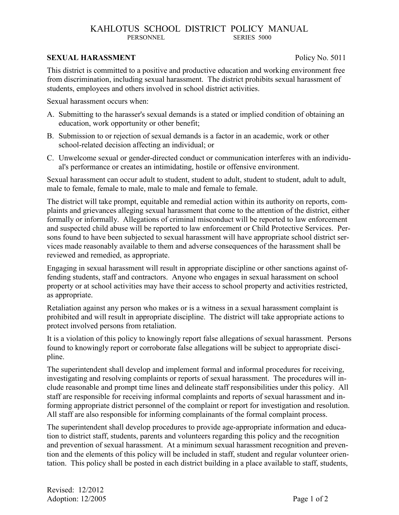# KAHLOTUS SCHOOL DISTRICT POLICY MANUAL PERSONNEL SERIES 5000

### **SEXUAL HARASSMENT Policy No. 5011**

This district is committed to a positive and productive education and working environment free from discrimination, including sexual harassment. The district prohibits sexual harassment of students, employees and others involved in school district activities.

Sexual harassment occurs when:

- A. Submitting to the harasser's sexual demands is a stated or implied condition of obtaining an education, work opportunity or other benefit;
- B. Submission to or rejection of sexual demands is a factor in an academic, work or other school-related decision affecting an individual; or
- C. Unwelcome sexual or gender-directed conduct or communication interferes with an individual's performance or creates an intimidating, hostile or offensive environment.

Sexual harassment can occur adult to student, student to adult, student to student, adult to adult, male to female, female to male, male to male and female to female.

The district will take prompt, equitable and remedial action within its authority on reports, complaints and grievances alleging sexual harassment that come to the attention of the district, either formally or informally. Allegations of criminal misconduct will be reported to law enforcement and suspected child abuse will be reported to law enforcement or Child Protective Services. Persons found to have been subjected to sexual harassment will have appropriate school district services made reasonably available to them and adverse consequences of the harassment shall be reviewed and remedied, as appropriate.

Engaging in sexual harassment will result in appropriate discipline or other sanctions against offending students, staff and contractors. Anyone who engages in sexual harassment on school property or at school activities may have their access to school property and activities restricted, as appropriate.

Retaliation against any person who makes or is a witness in a sexual harassment complaint is prohibited and will result in appropriate discipline. The district will take appropriate actions to protect involved persons from retaliation.

It is a violation of this policy to knowingly report false allegations of sexual harassment. Persons found to knowingly report or corroborate false allegations will be subject to appropriate discipline.

The superintendent shall develop and implement formal and informal procedures for receiving, investigating and resolving complaints or reports of sexual harassment. The procedures will include reasonable and prompt time lines and delineate staff responsibilities under this policy. All staff are responsible for receiving informal complaints and reports of sexual harassment and informing appropriate district personnel of the complaint or report for investigation and resolution. All staff are also responsible for informing complainants of the formal complaint process.

The superintendent shall develop procedures to provide age-appropriate information and education to district staff, students, parents and volunteers regarding this policy and the recognition and prevention of sexual harassment. At a minimum sexual harassment recognition and prevention and the elements of this policy will be included in staff, student and regular volunteer orientation. This policy shall be posted in each district building in a place available to staff, students,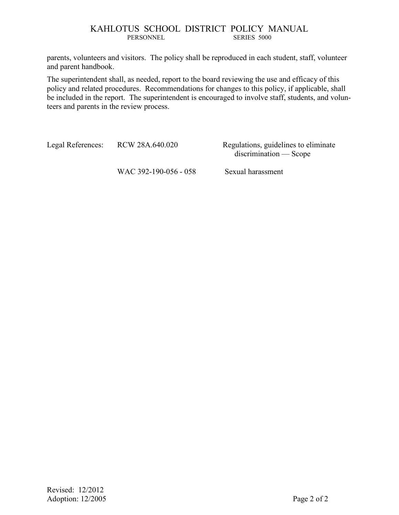# KAHLOTUS SCHOOL DISTRICT POLICY MANUAL PERSONNEL SERIES 5000

parents, volunteers and visitors. The policy shall be reproduced in each student, staff, volunteer and parent handbook.

The superintendent shall, as needed, report to the board reviewing the use and efficacy of this policy and related procedures. Recommendations for changes to this policy, if applicable, shall be included in the report. The superintendent is encouraged to involve staff, students, and volunteers and parents in the review process.

Legal References: RCW 28A.640.020 Regulations, guidelines to eliminate

discrimination — Scope

WAC 392-190-056 - 058 Sexual harassment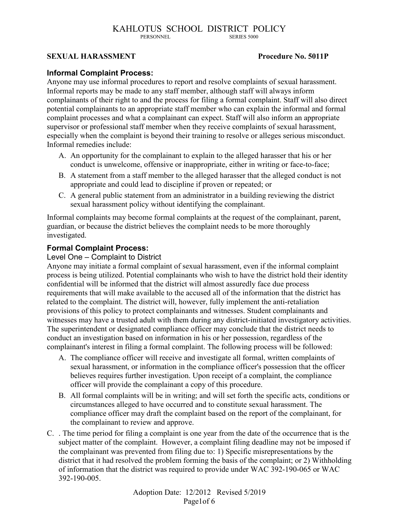#### KAHLOTUS SCHOOL DISTRICT POLICY<br>
PERSONNEL SERIES 5000 PERSONNEL

# **SEXUAL HARASSMENT Procedure No. 5011P**

### **Informal Complaint Process:**

Anyone may use informal procedures to report and resolve complaints of sexual harassment. Informal reports may be made to any staff member, although staff will always inform complainants of their right to and the process for filing a formal complaint. Staff will also direct potential complainants to an appropriate staff member who can explain the informal and formal complaint processes and what a complainant can expect. Staff will also inform an appropriate supervisor or professional staff member when they receive complaints of sexual harassment, especially when the complaint is beyond their training to resolve or alleges serious misconduct. Informal remedies include:

- A. An opportunity for the complainant to explain to the alleged harasser that his or her conduct is unwelcome, offensive or inappropriate, either in writing or face-to-face;
- B. A statement from a staff member to the alleged harasser that the alleged conduct is not appropriate and could lead to discipline if proven or repeated; or
- C. A general public statement from an administrator in a building reviewing the district sexual harassment policy without identifying the complainant.

Informal complaints may become formal complaints at the request of the complainant, parent, guardian, or because the district believes the complaint needs to be more thoroughly investigated.

# **Formal Complaint Process:**

### Level One – Complaint to District

Anyone may initiate a formal complaint of sexual harassment, even if the informal complaint process is being utilized. Potential complainants who wish to have the district hold their identity confidential will be informed that the district will almost assuredly face due process requirements that will make available to the accused all of the information that the district has related to the complaint. The district will, however, fully implement the anti-retaliation provisions of this policy to protect complainants and witnesses. Student complainants and witnesses may have a trusted adult with them during any district-initiated investigatory activities. The superintendent or designated compliance officer may conclude that the district needs to conduct an investigation based on information in his or her possession, regardless of the complainant's interest in filing a formal complaint. The following process will be followed:

- A. The compliance officer will receive and investigate all formal, written complaints of sexual harassment, or information in the compliance officer's possession that the officer believes requires further investigation. Upon receipt of a complaint, the compliance officer will provide the complainant a copy of this procedure.
- B. All formal complaints will be in writing; and will set forth the specific acts, conditions or circumstances alleged to have occurred and to constitute sexual harassment. The compliance officer may draft the complaint based on the report of the complainant, for the complainant to review and approve.
- C. . The time period for filing a complaint is one year from the date of the occurrence that is the subject matter of the complaint. However, a complaint filing deadline may not be imposed if the complainant was prevented from filing due to: 1) Specific misrepresentations by the district that it had resolved the problem forming the basis of the complaint; or 2) Withholding of information that the district was required to provide under WAC 392-190-065 or WAC 392-190-005.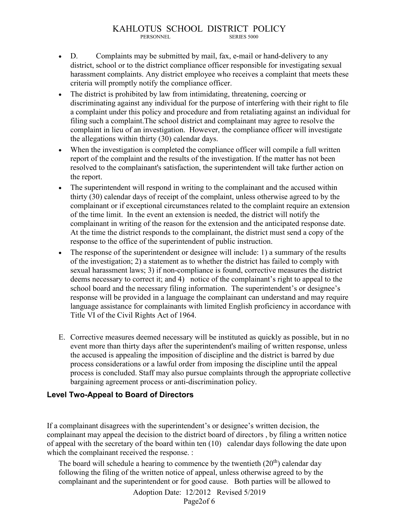- D. Complaints may be submitted by mail, fax, e-mail or hand-delivery to any district, school or to the district compliance officer responsible for investigating sexual harassment complaints. Any district employee who receives a complaint that meets these criteria will promptly notify the compliance officer.
- The district is prohibited by law from intimidating, threatening, coercing or discriminating against any individual for the purpose of interfering with their right to file a complaint under this policy and procedure and from retaliating against an individual for filing such a complaint.The school district and complainant may agree to resolve the complaint in lieu of an investigation. However, the compliance officer will investigate the allegations within thirty (30) calendar days.
- When the investigation is completed the compliance officer will compile a full written report of the complaint and the results of the investigation. If the matter has not been resolved to the complainant's satisfaction, the superintendent will take further action on the report.
- The superintendent will respond in writing to the complainant and the accused within thirty (30) calendar days of receipt of the complaint, unless otherwise agreed to by the complainant or if exceptional circumstances related to the complaint require an extension of the time limit. In the event an extension is needed, the district will notify the complainant in writing of the reason for the extension and the anticipated response date. At the time the district responds to the complainant, the district must send a copy of the response to the office of the superintendent of public instruction.
- The response of the superintendent or designee will include: 1) a summary of the results of the investigation; 2) a statement as to whether the district has failed to comply with sexual harassment laws; 3) if non-compliance is found, corrective measures the district deems necessary to correct it; and 4) notice of the complainant's right to appeal to the school board and the necessary filing information. The superintendent's or designee's response will be provided in a language the complainant can understand and may require language assistance for complainants with limited English proficiency in accordance with Title VI of the Civil Rights Act of 1964.
- E. Corrective measures deemed necessary will be instituted as quickly as possible, but in no event more than thirty days after the superintendent's mailing of written response, unless the accused is appealing the imposition of discipline and the district is barred by due process considerations or a lawful order from imposing the discipline until the appeal process is concluded. Staff may also pursue complaints through the appropriate collective bargaining agreement process or anti-discrimination policy.

# **Level Two-Appeal to Board of Directors**

If a complainant disagrees with the superintendent's or designee's written decision, the complainant may appeal the decision to the district board of directors , by filing a written notice of appeal with the secretary of the board within ten (10) calendar days following the date upon which the complainant received the response. :

The board will schedule a hearing to commence by the twentieth  $(20<sup>th</sup>)$  calendar day following the filing of the written notice of appeal, unless otherwise agreed to by the complainant and the superintendent or for good cause. Both parties will be allowed to

> Adoption Date: 12/2012 Revised 5/2019 Page2of 6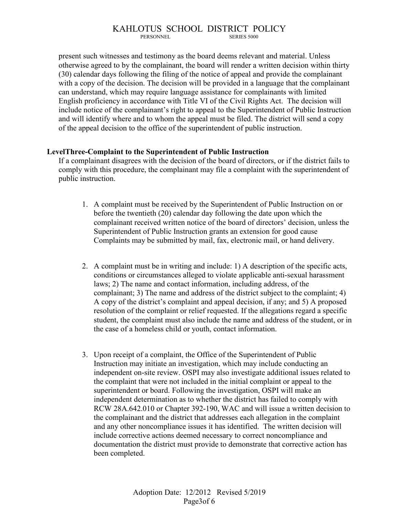# KAHLOTUS SCHOOL DISTRICT POLICY

SERIES 5000

present such witnesses and testimony as the board deems relevant and material. Unless otherwise agreed to by the complainant, the board will render a written decision within thirty (30) calendar days following the filing of the notice of appeal and provide the complainant with a copy of the decision. The decision will be provided in a language that the complainant can understand, which may require language assistance for complainants with limited English proficiency in accordance with Title VI of the Civil Rights Act. The decision will include notice of the complainant's right to appeal to the Superintendent of Public Instruction and will identify where and to whom the appeal must be filed. The district will send a copy of the appeal decision to the office of the superintendent of public instruction.

# **LevelThree-Complaint to the Superintendent of Public Instruction**

If a complainant disagrees with the decision of the board of directors, or if the district fails to comply with this procedure, the complainant may file a complaint with the superintendent of public instruction.

- 1. A complaint must be received by the Superintendent of Public Instruction on or before the twentieth (20) calendar day following the date upon which the complainant received written notice of the board of directors' decision, unless the Superintendent of Public Instruction grants an extension for good cause Complaints may be submitted by mail, fax, electronic mail, or hand delivery.
- 2. A complaint must be in writing and include: 1) A description of the specific acts, conditions or circumstances alleged to violate applicable anti-sexual harassment laws; 2) The name and contact information, including address, of the complainant; 3) The name and address of the district subject to the complaint; 4) A copy of the district's complaint and appeal decision, if any; and 5) A proposed resolution of the complaint or relief requested. If the allegations regard a specific student, the complaint must also include the name and address of the student, or in the case of a homeless child or youth, contact information.
- 3. Upon receipt of a complaint, the Office of the Superintendent of Public Instruction may initiate an investigation, which may include conducting an independent on-site review. OSPI may also investigate additional issues related to the complaint that were not included in the initial complaint or appeal to the superintendent or board. Following the investigation, OSPI will make an independent determination as to whether the district has failed to comply with RCW 28A.642.010 or Chapter 392-190, WAC and will issue a written decision to the complainant and the district that addresses each allegation in the complaint and any other noncompliance issues it has identified. The written decision will include corrective actions deemed necessary to correct noncompliance and documentation the district must provide to demonstrate that corrective action has been completed.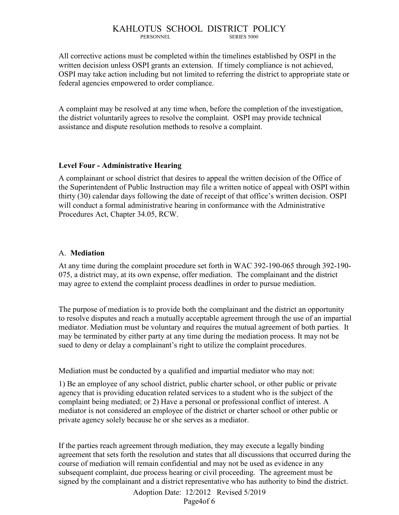#### KAHLOTUS SCHOOL DISTRICT POLICY SERIES 5000

All corrective actions must be completed within the timelines established by OSPI in the written decision unless OSPI grants an extension. If timely compliance is not achieved, OSPI may take action including but not limited to referring the district to appropriate state or federal agencies empowered to order compliance.

A complaint may be resolved at any time when, before the completion of the investigation, the district voluntarily agrees to resolve the complaint. OSPI may provide technical assistance and dispute resolution methods to resolve a complaint.

### **Level Four - Administrative Hearing**

A complainant or school district that desires to appeal the written decision of the Office of the Superintendent of Public Instruction may file a written notice of appeal with OSPI within thirty (30) calendar days following the date of receipt of that office's written decision. OSPI will conduct a formal administrative hearing in conformance with the Administrative Procedures Act, Chapter 34.05, RCW.

# A. **Mediation**

At any time during the complaint procedure set forth in WAC 392-190-065 through 392-190- 075, a district may, at its own expense, offer mediation. The complainant and the district may agree to extend the complaint process deadlines in order to pursue mediation.

The purpose of mediation is to provide both the complainant and the district an opportunity to resolve disputes and reach a mutually acceptable agreement through the use of an impartial mediator. Mediation must be voluntary and requires the mutual agreement of both parties. It may be terminated by either party at any time during the mediation process. It may not be sued to deny or delay a complainant's right to utilize the complaint procedures.

Mediation must be conducted by a qualified and impartial mediator who may not:

1) Be an employee of any school district, public charter school, or other public or private agency that is providing education related services to a student who is the subject of the complaint being mediated; or 2) Have a personal or professional conflict of interest. A mediator is not considered an employee of the district or charter school or other public or private agency solely because he or she serves as a mediator.

If the parties reach agreement through mediation, they may execute a legally binding agreement that sets forth the resolution and states that all discussions that occurred during the course of mediation will remain confidential and may not be used as evidence in any subsequent complaint, due process hearing or civil proceeding. The agreement must be signed by the complainant and a district representative who has authority to bind the district.

> Adoption Date: 12/2012 Revised 5/2019 Page4of 6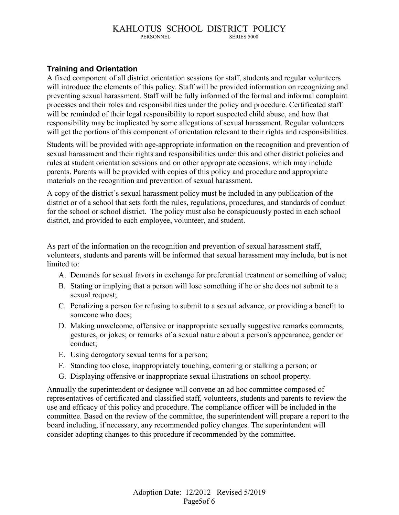#### KAHLOTUS SCHOOL DISTRICT POLICY<br>
PERSONNEL SERIES 5000 PERSONNEL

# **Training and Orientation**

A fixed component of all district orientation sessions for staff, students and regular volunteers will introduce the elements of this policy. Staff will be provided information on recognizing and preventing sexual harassment. Staff will be fully informed of the formal and informal complaint processes and their roles and responsibilities under the policy and procedure. Certificated staff will be reminded of their legal responsibility to report suspected child abuse, and how that responsibility may be implicated by some allegations of sexual harassment. Regular volunteers will get the portions of this component of orientation relevant to their rights and responsibilities.

Students will be provided with age-appropriate information on the recognition and prevention of sexual harassment and their rights and responsibilities under this and other district policies and rules at student orientation sessions and on other appropriate occasions, which may include parents. Parents will be provided with copies of this policy and procedure and appropriate materials on the recognition and prevention of sexual harassment.

A copy of the district's sexual harassment policy must be included in any publication of the district or of a school that sets forth the rules, regulations, procedures, and standards of conduct for the school or school district. The policy must also be conspicuously posted in each school district, and provided to each employee, volunteer, and student.

As part of the information on the recognition and prevention of sexual harassment staff, volunteers, students and parents will be informed that sexual harassment may include, but is not limited to:

- A. Demands for sexual favors in exchange for preferential treatment or something of value;
- B. Stating or implying that a person will lose something if he or she does not submit to a sexual request;
- C. Penalizing a person for refusing to submit to a sexual advance, or providing a benefit to someone who does;
- D. Making unwelcome, offensive or inappropriate sexually suggestive remarks comments, gestures, or jokes; or remarks of a sexual nature about a person's appearance, gender or conduct;
- E. Using derogatory sexual terms for a person;
- F. Standing too close, inappropriately touching, cornering or stalking a person; or
- G. Displaying offensive or inappropriate sexual illustrations on school property.

Annually the superintendent or designee will convene an ad hoc committee composed of representatives of certificated and classified staff, volunteers, students and parents to review the use and efficacy of this policy and procedure. The compliance officer will be included in the committee. Based on the review of the committee, the superintendent will prepare a report to the board including, if necessary, any recommended policy changes. The superintendent will consider adopting changes to this procedure if recommended by the committee.